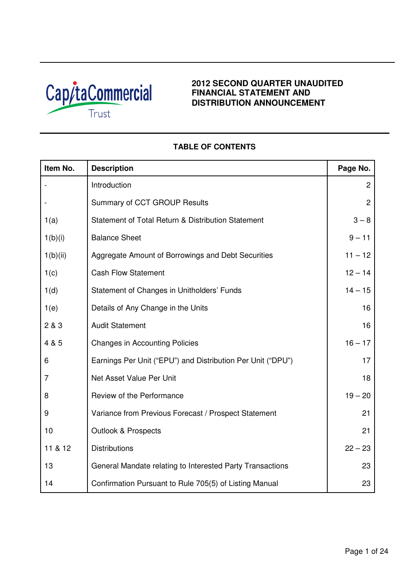

# **2012 SECOND QUARTER UNAUDITED FINANCIAL STATEMENT AND DISTRIBUTION ANNOUNCEMENT**

| Item No. | <b>Description</b>                                          | Page No.       |
|----------|-------------------------------------------------------------|----------------|
|          | Introduction                                                | 2              |
|          | Summary of CCT GROUP Results                                | $\overline{2}$ |
| 1(a)     | Statement of Total Return & Distribution Statement          | $3 - 8$        |
| 1(b)(i)  | <b>Balance Sheet</b>                                        | $9 - 11$       |
| 1(b)(ii) | Aggregate Amount of Borrowings and Debt Securities          | $11 - 12$      |
| 1(c)     | <b>Cash Flow Statement</b>                                  | $12 - 14$      |
| 1(d)     | Statement of Changes in Unitholders' Funds                  | $14 - 15$      |
| 1(e)     | Details of Any Change in the Units                          | 16             |
| 2 & 3    | <b>Audit Statement</b>                                      | 16             |
| 4 & 5    | <b>Changes in Accounting Policies</b>                       | $16 - 17$      |
| 6        | Earnings Per Unit ("EPU") and Distribution Per Unit ("DPU") | 17             |
| 7        | Net Asset Value Per Unit                                    | 18             |
| 8        | Review of the Performance                                   | $19 - 20$      |
| 9        | Variance from Previous Forecast / Prospect Statement        | 21             |
| 10       | <b>Outlook &amp; Prospects</b>                              | 21             |
| 11 & 12  | <b>Distributions</b>                                        | $22 - 23$      |
| 13       | General Mandate relating to Interested Party Transactions   | 23             |
| 14       | Confirmation Pursuant to Rule 705(5) of Listing Manual      | 23             |

# **TABLE OF CONTENTS**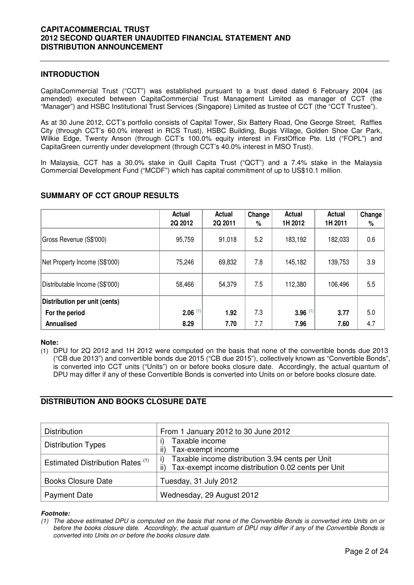## **INTRODUCTION**

CapitaCommercial Trust ("CCT") was established pursuant to a trust deed dated 6 February 2004 (as amended) executed between CapitaCommercial Trust Management Limited as manager of CCT (the "Manager") and HSBC Institutional Trust Services (Singapore) Limited as trustee of CCT (the "CCT Trustee").

As at 30 June 2012, CCT's portfolio consists of Capital Tower, Six Battery Road, One George Street, Raffles City (through CCT's 60.0% interest in RCS Trust), HSBC Building, Bugis Village, Golden Shoe Car Park, Wilkie Edge, Twenty Anson (through CCT's 100.0% equity interest in FirstOffice Pte. Ltd ("FOPL") and CapitaGreen currently under development (through CCT's 40.0% interest in MSO Trust).

In Malaysia, CCT has a 30.0% stake in Quill Capita Trust ("QCT") and a 7.4% stake in the Malaysia Commercial Development Fund ("MCDF") which has capital commitment of up to US\$10.1 million.

|                                | Actual<br>2Q 2012     | Actual<br>2Q 2011 | Change<br>% | <b>Actual</b><br>1H 2012 | Actual<br>1H 2011 | Change<br>% |
|--------------------------------|-----------------------|-------------------|-------------|--------------------------|-------------------|-------------|
| Gross Revenue (S\$'000)        | 95,759                | 91,018            | 5.2         | 183,192                  | 182,033           | 0.6         |
| Net Property Income (S\$'000)  | 75,246                | 69,832            | 7.8         | 145,182                  | 139,753           | 3.9         |
| Distributable Income (S\$'000) | 58,466                | 54,379            | 7.5         | 112,380                  | 106,496           | 5.5         |
| Distribution per unit (cents)  |                       |                   |             |                          |                   |             |
| For the period                 | $2.06$ <sup>(1)</sup> | 1.92              | 7.3         | $3.96$ <sup>(1)</sup>    | 3.77              | 5.0         |
| Annualised                     | 8.29                  | 7.70              | 7.7         | 7.96                     | 7.60              | 4.7         |

# **SUMMARY OF CCT GROUP RESULTS**

## **Note:**

(1) DPU for 2Q 2012 and 1H 2012 were computed on the basis that none of the convertible bonds due 2013 ("CB due 2013") and convertible bonds due 2015 ("CB due 2015"), collectively known as "Convertible Bonds", is converted into CCT units ("Units") on or before books closure date. Accordingly, the actual quantum of DPU may differ if any of these Convertible Bonds is converted into Units on or before books closure date.

# **DISTRIBUTION AND BOOKS CLOSURE DATE**

| <b>Distribution</b>                         | From 1 January 2012 to 30 June 2012                       |
|---------------------------------------------|-----------------------------------------------------------|
| <b>Distribution Types</b>                   | Taxable income                                            |
|                                             | Tax-exempt income<br>ii)                                  |
| Estimated Distribution Rates <sup>(1)</sup> | Taxable income distribution 3.94 cents per Unit<br>i)     |
|                                             | Tax-exempt income distribution 0.02 cents per Unit<br>ii) |
| <b>Books Closure Date</b>                   | Tuesday, 31 July 2012                                     |
| <b>Payment Date</b>                         | Wednesday, 29 August 2012                                 |

## **Footnote:**

(1) The above estimated DPU is computed on the basis that none of the Convertible Bonds is converted into Units on or before the books closure date. Accordingly, the actual quantum of DPU may differ if any of the Convertible Bonds is converted into Units on or before the books closure date.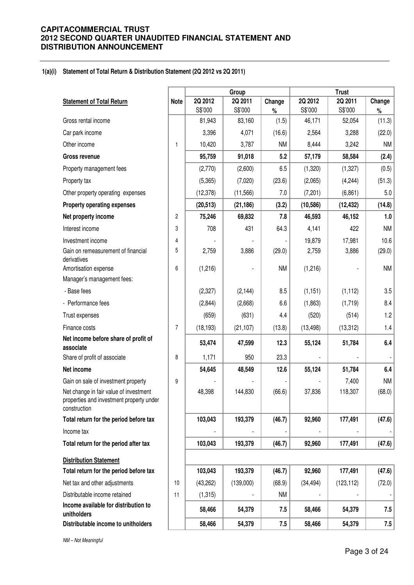## **1(a)(i) Statement of Total Return & Distribution Statement (2Q 2012 vs 2Q 2011)**

|                                                                                                    |                |                   | Group             |               |                   | <b>Trust</b>      |                |
|----------------------------------------------------------------------------------------------------|----------------|-------------------|-------------------|---------------|-------------------|-------------------|----------------|
| <b>Statement of Total Return</b>                                                                   | <b>Note</b>    | 2Q 2012           | 2Q 2011           | Change        | 2Q 2012           | 2Q 2011           | Change         |
| Gross rental income                                                                                |                | S\$'000<br>81,943 | S\$'000<br>83,160 | $\%$<br>(1.5) | S\$'000<br>46,171 | S\$'000<br>52,054 | $\%$<br>(11.3) |
|                                                                                                    |                |                   |                   |               |                   |                   |                |
| Car park income                                                                                    |                | 3,396             | 4,071             | (16.6)        | 2,564             | 3,288             | (22.0)         |
| Other income                                                                                       | $\mathbf{1}$   | 10,420            | 3,787             | <b>NM</b>     | 8,444             | 3,242             | <b>NM</b>      |
| <b>Gross revenue</b>                                                                               |                | 95,759            | 91,018            | 5.2           | 57,179            | 58,584            | (2.4)          |
| Property management fees                                                                           |                | (2,770)           | (2,600)           | 6.5           | (1,320)           | (1, 327)          | (0.5)          |
| Property tax                                                                                       |                | (5,365)           | (7,020)           | (23.6)        | (2,065)           | (4,244)           | (51.3)         |
| Other property operating expenses                                                                  |                | (12, 378)         | (11, 566)         | 7.0           | (7, 201)          | (6, 861)          | 5.0            |
| <b>Property operating expenses</b>                                                                 |                | (20, 513)         | (21, 186)         | (3.2)         | (10, 586)         | (12, 432)         | (14.8)         |
| Net property income                                                                                | $\overline{c}$ | 75,246            | 69,832            | 7.8           | 46,593            | 46,152            | 1.0            |
| Interest income                                                                                    | 3              | 708               | 431               | 64.3          | 4,141             | 422               | <b>NM</b>      |
| Investment income                                                                                  | 4              |                   |                   |               | 19,879            | 17,981            | 10.6           |
| Gain on remeasurement of financial<br>derivatives                                                  | 5              | 2,759             | 3,886             | (29.0)        | 2,759             | 3,886             | (29.0)         |
| Amortisation expense                                                                               | 6              | (1,216)           |                   | <b>NM</b>     | (1, 216)          |                   | <b>NM</b>      |
| Manager's management fees:                                                                         |                |                   |                   |               |                   |                   |                |
| - Base fees                                                                                        |                | (2, 327)          | (2, 144)          | 8.5           | (1, 151)          | (1, 112)          | 3.5            |
| - Performance fees                                                                                 |                | (2,844)           | (2,668)           | 6.6           | (1,863)           | (1,719)           | 8.4            |
| Trust expenses                                                                                     |                | (659)             | (631)             | 4.4           | (520)             | (514)             | 1.2            |
| Finance costs                                                                                      | $\overline{7}$ | (18, 193)         | (21, 107)         | (13.8)        | (13, 498)         | (13, 312)         | 1.4            |
| Net income before share of profit of<br>associate                                                  |                | 53,474            | 47,599            | 12.3          | 55,124            | 51,784            | 6.4            |
| Share of profit of associate                                                                       | 8              | 1,171             | 950               | 23.3          |                   |                   |                |
| Net income                                                                                         |                | 54,645            | 48,549            | 12.6          | 55,124            | 51,784            | 6.4            |
| Gain on sale of investment property                                                                | 9              |                   |                   |               |                   | 7,400             | <b>NM</b>      |
| Net change in fair value of investment<br>properties and investment property under<br>construction |                | 48,398            | 144,830           | (66.6)        | 37,836            | 118,307           | (68.0)         |
| Total return for the period before tax                                                             |                | 103,043           | 193,379           | (46.7)        | 92,960            | 177,491           | (47.6)         |
| Income tax                                                                                         |                |                   |                   |               |                   |                   |                |
| Total return for the period after tax                                                              |                | 103,043           | 193,379           | (46.7)        | 92,960            | 177,491           | (47.6)         |
| <b>Distribution Statement</b>                                                                      |                |                   |                   |               |                   |                   |                |
| Total return for the period before tax                                                             |                | 103,043           | 193,379           | (46.7)        | 92,960            | 177,491           | (47.6)         |
| Net tax and other adjustments                                                                      | 10             | (43, 262)         | (139,000)         | (68.9)        | (34, 494)         | (123, 112)        | (72.0)         |
| Distributable income retained                                                                      | 11             | (1,315)           |                   | <b>NM</b>     |                   |                   |                |
| Income available for distribution to<br>unitholders                                                |                | 58,466            | 54,379            | 7.5           | 58,466            | 54,379            | 7.5            |
| Distributable income to unitholders                                                                |                | 58,466            | 54,379            | 7.5           | 58,466            | 54,379            | 7.5            |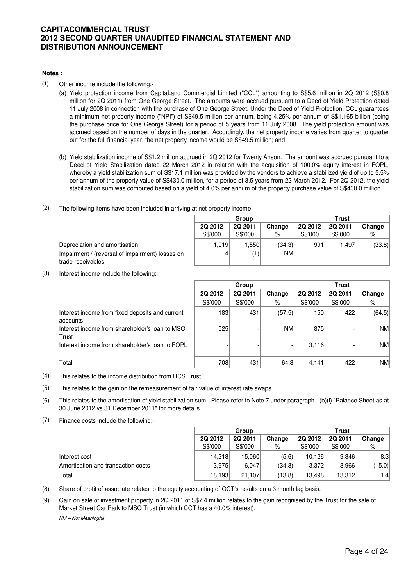#### **Notes :**

- (1) Other income include the following:-
	- (a) Yield protection income from CapitaLand Commercial Limited ("CCL") amounting to S\$5.6 million in 2Q 2012 (S\$0.8 million for 2Q 2011) from One George Street. The amounts were accrued pursuant to a Deed of Yield Protection dated 11 July 2008 in connection with the purchase of One George Street. Under the Deed of Yield Protection, CCL guarantees a minimum net property income ("NPI") of S\$49.5 million per annum, being 4.25% per annum of S\$1.165 billion (being the purchase price for One George Street) for a period of 5 years from 11 July 2008. The yield protection amount was accrued based on the number of days in the quarter. Accordingly, the net property income varies from quarter to quarter but for the full financial year, the net property income would be S\$49.5 million; and
	- (b) Yield stabilization income of S\$1.2 million accrued in 2Q 2012 for Twenty Anson. The amount was accrued pursuant to a Deed of Yield Stabilization dated 22 March 2012 in relation with the acquisition of 100.0% equity interest in FOPL, whereby a yield stabilization sum of S\$17.1 million was provided by the vendors to achieve a stabilized yield of up to 5.5% per annum of the property value of S\$430.0 million, for a period of 3.5 years from 22 March 2012. For 2Q 2012, the yield stabilization sum was computed based on a yield of 4.0% per annum of the property purchase value of S\$430.0 million.
- (2) The following items have been included in arriving at net property income:-

|         | Group   |           | Trust   |         |        |  |  |
|---------|---------|-----------|---------|---------|--------|--|--|
| 2Q 2012 | 2Q 2011 | Change    | 2Q 2012 | 2Q 2011 | Change |  |  |
| S\$'000 | S\$'000 | %         | S\$'000 | S\$'000 | $\%$   |  |  |
| 1,019   | 1,550   | (34.3)    | 991     | 1.497   | (33.8) |  |  |
|         | (1)     | <b>NM</b> |         |         |        |  |  |
|         |         |           |         |         |        |  |  |

(3) Interest income include the following:-

Impairment / (reversal of impairment) losses on

Depreciation and amortisation

trade receivables

|                                                             | Group   |         |           | <b>Trust</b>   |         |           |  |
|-------------------------------------------------------------|---------|---------|-----------|----------------|---------|-----------|--|
|                                                             | 2Q 2012 | 2Q 2011 | Change    | <b>2Q 2012</b> | 2Q 2011 | Change    |  |
|                                                             | S\$'000 | S\$'000 | %         | S\$'000        | S\$'000 | %         |  |
| Interest income from fixed deposits and current<br>accounts | 183     | 431     | (57.5)    | 150            | 422     | (64.5)    |  |
| Interest income from shareholder's loan to MSO<br>Trust     | 525     |         | <b>NM</b> | 875            |         | <b>NM</b> |  |
| Interest income from shareholder's loan to FOPL             |         |         |           | 3,116          |         | <b>NM</b> |  |
| Total                                                       | 708     | 431     | 64.3      | 4,141          | 422     | <b>NM</b> |  |

- (4) This relates to the income distribution from RCS Trust.
- (5) This relates to the gain on the remeasurement of fair value of interest rate swaps.
- (6) This relates to the amortisation of yield stabilization sum. Please refer to Note 7 under paragraph 1(b)(i) "Balance Sheet as at 30 June 2012 vs 31 December 2011" for more details.

(7) Finance costs include the following:-

|                                    | Group          |         |        |                | Trust   |        |
|------------------------------------|----------------|---------|--------|----------------|---------|--------|
|                                    | <b>2Q 2012</b> | 2Q 2011 | Change | <b>2Q 2012</b> | 2Q 2011 | Change |
|                                    | S\$'000        | S\$'000 | %      | S\$'000        | S\$'000 | %      |
| Interest cost                      | 14.218         | 15.060  | (5.6)  | 10.126         | 9.346   | 8.3    |
| Amortisation and transaction costs | 3.975          | 6.047   | (34.3) | 3.372          | 3,966   | (15.0) |
| Total                              | 18,193         | 21,107  | (13.8) | 13.498         | 13,312  | 1.4    |

- (8) Share of profit of associate relates to the equity accounting of QCT's results on a 3 month lag basis.
- (9) Gain on sale of investment property in 2Q 2011 of S\$7.4 million relates to the gain recognised by the Trust for the sale of Market Street Car Park to MSO Trust (in which CCT has a 40.0% interest).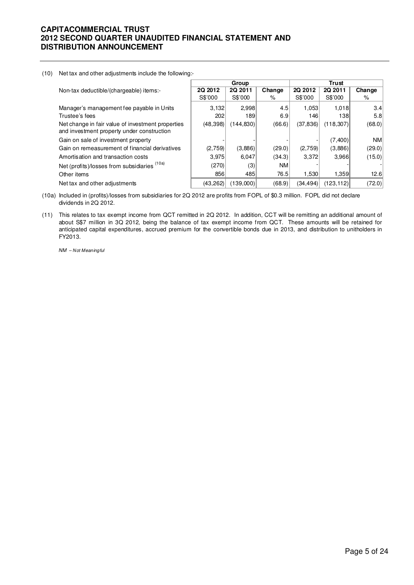(10) Net tax and other adjustments include the following:-

|                                                                                                 |           | Group     |           |           | Trust      |        |
|-------------------------------------------------------------------------------------------------|-----------|-----------|-----------|-----------|------------|--------|
| Non-tax deductible/(chargeable) items:-                                                         | 2Q 2012   | 2Q 2011   | Change    | 2Q 2012   | 2Q 2011    | Change |
|                                                                                                 | S\$'000   | S\$'000   | %         | S\$'000   | S\$'000    | %      |
| Manager's management fee payable in Units                                                       | 3,132     | 2,998     | 4.5       | 1.053     | 1,018      | 3.4    |
| Trustee's fees                                                                                  | 202       | 189       | 6.9       | 146       | 1381       | 5.8    |
| Net change in fair value of investment properties<br>and investment property under construction | (48, 398) | (144.830) | (66.6)    | (37, 836) | (118, 307) | (68.0) |
| Gain on sale of investment property                                                             |           |           |           |           | (7,400)    | NM     |
| Gain on remeasurement of financial derivatives                                                  | (2,759)   | (3,886)   | (29.0)    | (2,759)   | (3,886)    | (29.0) |
| Amortisation and transaction costs                                                              | 3,975     | 6,047     | (34.3)    | 3,372     | 3,966      | (15.0) |
| Net (profits)/losses from subsidiaries (10a)                                                    | (270)     | (3)       | <b>NM</b> |           |            |        |
| Other items                                                                                     | 856       | 485       | 76.5      | 1.530     | 1,359      | 12.6   |
| Net tax and other adjustments                                                                   | (43, 262) | (139.000) | (68.9)    | (34, 494) | (123, 112) | (72.0) |

(10a) Included in (profits)/losses from subsidiaries for 2Q 2012 are profits from FOPL of \$0.3 million. FOPL did not declare dividends in 2Q 2012.

(11) This relates to tax exempt income from QCT remitted in 2Q 2012. In addition, CCT will be remitting an additional amount of about S\$7 million in 3Q 2012, being the balance of tax exempt income from QCT. These amounts will be retained for anticipated capital expenditures, accrued premium for the convertible bonds due in 2013, and distribution to unitholders in FY2013.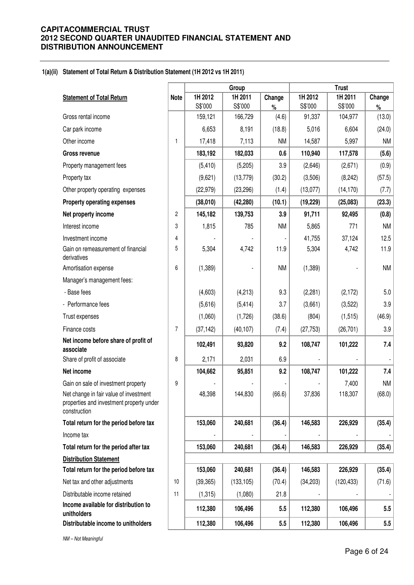## **1(a)(ii) Statement of Total Return & Distribution Statement (1H 2012 vs 1H 2011)**

|                                                                                                    |                |           | Group      |           |           | <b>Trust</b> |           |
|----------------------------------------------------------------------------------------------------|----------------|-----------|------------|-----------|-----------|--------------|-----------|
| <b>Statement of Total Return</b>                                                                   | <b>Note</b>    | 1H 2012   | 1H 2011    | Change    | 1H 2012   | 1H 2011      | Change    |
| Gross rental income                                                                                |                | S\$'000   | S\$'000    | $\%$      | S\$'000   | S\$'000      | $\%$      |
|                                                                                                    |                | 159,121   | 166,729    | (4.6)     | 91,337    | 104,977      | (13.0)    |
| Car park income                                                                                    |                | 6,653     | 8,191      | (18.8)    | 5,016     | 6,604        | (24.0)    |
| Other income                                                                                       | 1              | 17,418    | 7,113      | <b>NM</b> | 14,587    | 5,997        | <b>NM</b> |
| <b>Gross revenue</b>                                                                               |                | 183,192   | 182,033    | 0.6       | 110,940   | 117,578      | (5.6)     |
| Property management fees                                                                           |                | (5, 410)  | (5,205)    | 3.9       | (2,646)   | (2,671)      | (0.9)     |
| Property tax                                                                                       |                | (9,621)   | (13, 779)  | (30.2)    | (3,506)   | (8, 242)     | (57.5)    |
| Other property operating expenses                                                                  |                | (22, 979) | (23, 296)  | (1.4)     | (13,077)  | (14, 170)    | (7.7)     |
| <b>Property operating expenses</b>                                                                 |                | (38,010)  | (42, 280)  | (10.1)    | (19, 229) | (25,083)     | (23.3)    |
| Net property income                                                                                | 2              | 145,182   | 139,753    | 3.9       | 91,711    | 92,495       | (0.8)     |
| Interest income                                                                                    | 3              | 1,815     | 785        | <b>NM</b> | 5,865     | 771          | <b>NM</b> |
| Investment income                                                                                  | 4              |           |            |           | 41,755    | 37,124       | 12.5      |
| Gain on remeasurement of financial<br>derivatives                                                  | 5              | 5,304     | 4,742      | 11.9      | 5,304     | 4,742        | 11.9      |
| Amortisation expense                                                                               | 6              | (1,389)   |            | <b>NM</b> | (1, 389)  |              | <b>NM</b> |
| Manager's management fees:                                                                         |                |           |            |           |           |              |           |
| - Base fees                                                                                        |                | (4,603)   | (4,213)    | 9.3       | (2, 281)  | (2, 172)     | 5.0       |
| - Performance fees                                                                                 |                | (5,616)   | (5, 414)   | 3.7       | (3,661)   | (3,522)      | 3.9       |
| Trust expenses                                                                                     |                | (1,060)   | (1,726)    | (38.6)    | (804)     | (1, 515)     | (46.9)    |
| Finance costs                                                                                      | $\overline{7}$ | (37, 142) | (40, 107)  | (7.4)     | (27, 753) | (26, 701)    | 3.9       |
| Net income before share of profit of<br>associate                                                  |                | 102,491   | 93,820     | 9.2       | 108,747   | 101,222      | 7.4       |
| Share of profit of associate                                                                       | 8              | 2,171     | 2,031      | 6.9       |           |              |           |
| Net income                                                                                         |                | 104,662   | 95,851     | 9.2       | 108,747   | 101,222      | 7.4       |
| Gain on sale of investment property                                                                | 9              |           |            |           |           | 7,400        | <b>NM</b> |
| Net change in fair value of investment<br>properties and investment property under<br>construction |                | 48,398    | 144,830    | (66.6)    | 37,836    | 118,307      | (68.0)    |
| Total return for the period before tax                                                             |                | 153,060   | 240,681    | (36.4)    | 146,583   | 226,929      | (35.4)    |
| Income tax                                                                                         |                |           |            |           |           |              |           |
| Total return for the period after tax                                                              |                | 153,060   | 240,681    | (36.4)    | 146,583   | 226,929      | (35.4)    |
| <b>Distribution Statement</b>                                                                      |                |           |            |           |           |              |           |
| Total return for the period before tax                                                             |                | 153,060   | 240,681    | (36.4)    | 146,583   | 226,929      | (35.4)    |
| Net tax and other adjustments                                                                      | 10             | (39, 365) | (133, 105) | (70.4)    | (34, 203) | (120, 433)   | (71.6)    |
| Distributable income retained                                                                      | 11             | (1,315)   | (1,080)    | 21.8      |           |              |           |
| Income available for distribution to<br>unitholders                                                |                | 112,380   | 106,496    | 5.5       | 112,380   | 106,496      | 5.5       |
| Distributable income to unitholders                                                                |                | 112,380   | 106,496    | 5.5       | 112,380   | 106,496      | 5.5       |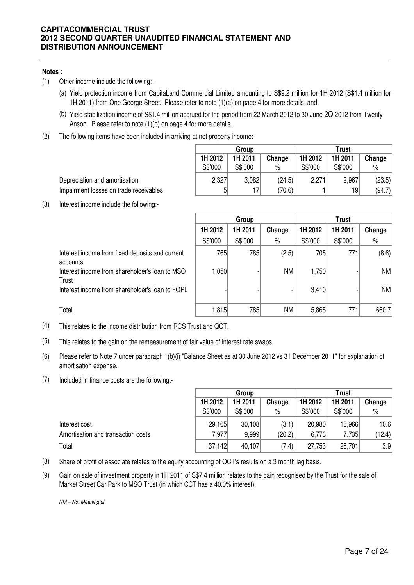## **Notes :**

- (1) Other income include the following:-
	- (a) Yield protection income from CapitaLand Commercial Limited amounting to S\$9.2 million for 1H 2012 (S\$1.4 million for 1H 2011) from One George Street. Please refer to note (1)(a) on page 4 for more details; and
	- (b) Yield stabilization income of S\$1.4 million accrued for the period from 22 March 2012 to 30 June 2Q 2012 from Twenty Anson. Please refer to note (1)(b) on page 4 for more details.
- (2) The following items have been included in arriving at net property income:-

|         | Group   |        | Trust   |         |        |  |
|---------|---------|--------|---------|---------|--------|--|
| 1H 2012 | 1H 2011 | Change | 1H 2012 | 1H 2011 | Change |  |
| S\$'000 | S\$'000 | $\%$   | S\$'000 | S\$'000 | %      |  |
| 2,327   | 3,082   | (24.5) | 2,271   | 2,967   | (23.5) |  |
| 5       | 17      | (70.6) |         | 19      | (94.7) |  |

Depreciation and amortisation Impairment losses on trade receivables

(3) Interest income include the following:-

|                                                             | Group   |         |           | <b>Trust</b> |         |        |
|-------------------------------------------------------------|---------|---------|-----------|--------------|---------|--------|
|                                                             | 1H 2012 | 1H 2011 | Change    | 1H 2012      | 1H 2011 | Change |
|                                                             | S\$'000 | S\$'000 | $\%$      | S\$'000      | S\$'000 | $\%$   |
| Interest income from fixed deposits and current<br>accounts | 765     | 785     | (2.5)     | 705          | 771     | (8.6)  |
| Interest income from shareholder's loan to MSO<br>Trust     | ∣050, ا |         | <b>NM</b> | 1,750        |         | NM     |
| Interest income from shareholder's loan to FOPL             |         |         |           | 3,410        |         | NM     |
| Total                                                       | 1,815   | 785     | NM        | 5,865        | 771     | 660.7  |

- (4) This relates to the income distribution from RCS Trust and QCT.
- (5) This relates to the gain on the remeasurement of fair value of interest rate swaps.
- (6) Please refer to Note 7 under paragraph 1(b)(i) "Balance Sheet as at 30 June 2012 vs 31 December 2011" for explanation of amortisation expense.
- (7) Included in finance costs are the following:-

|                                    | Group   |         |        | <b>Trust</b> |         |        |
|------------------------------------|---------|---------|--------|--------------|---------|--------|
|                                    | 1H 2012 | 1H 2011 | Change | 1H 2012      | 1H 2011 | Change |
|                                    | S\$'000 | S\$'000 | $\%$   | S\$'000      | S\$'000 | $\%$   |
| Interest cost                      | 29,165  | 30,108  | (3.1)  | 20,980       | 18,966  | 10.6   |
| Amortisation and transaction costs | 7.977   | 9.999   | (20.2) | 6,773        | 7,735   | (12.4) |
| Total                              | 37,142  | 40,107  | (7.4)  | 27,753       | 26,701  | 3.9    |

- (8) Share of profit of associate relates to the equity accounting of QCT's results on a 3 month lag basis.
- (9) Gain on sale of investment property in 1H 2011 of S\$7.4 million relates to the gain recognised by the Trust for the sale of Market Street Car Park to MSO Trust (in which CCT has a 40.0% interest).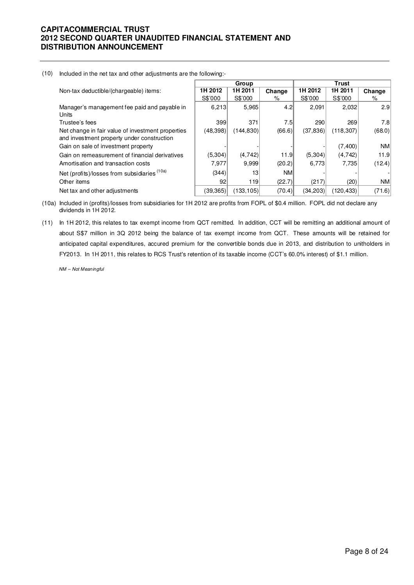#### (10) Included in the net tax and other adjustments are the following:-

|                                                                                                 |          | Group     |           |           | <b>Trust</b> |           |
|-------------------------------------------------------------------------------------------------|----------|-----------|-----------|-----------|--------------|-----------|
| Non-tax deductible/(chargeable) items:                                                          | 1H 2012  | 1H 2011   | Change    | 1H 2012   | 1H 2011      | Change    |
|                                                                                                 | S\$'000  | S\$'000   | %         | S\$'000   | S\$'000      | %         |
| Manager's management fee paid and payable in<br>Units                                           | 6,213    | 5,965     | 4.2       | 2,091     | 2,032        | 2.9       |
| Trustee's fees                                                                                  | 399      | 371       | 7.5       | 290       | 269          | 7.8       |
| Net change in fair value of investment properties<br>and investment property under construction | (48,398) | (144,830) | (66.6)    | (37, 836) | (118, 307)   | (68.0)    |
| Gain on sale of investment property                                                             |          |           |           |           | (7, 400)     | NM        |
| Gain on remeasurement of financial derivatives                                                  | (5,304)  | (4, 742)  | 11.9      | (5,304)   | (4, 742)     | 11.9      |
| Amortisation and transaction costs                                                              | 7,977    | 9,999     | (20.2)    | 6,773     | 7.735        | (12.4)    |
| Net (profits)/losses from subsidiaries (10a)                                                    | (344)    | 13        | <b>NM</b> |           |              |           |
| Other items                                                                                     | 92       | 119       | (22.7)    | (217)     | (20)         | <b>NM</b> |
| Net tax and other adjustments                                                                   | (39,365) | (133,105) | (70.4)    | (34, 203) | (120, 433)   | (71.6)    |

(10a) Included in (profits)/losses from subsidiaries for 1H 2012 are profits from FOPL of \$0.4 million. FOPL did not declare any dividends in 1H 2012.

(11) In 1H 2012, this relates to tax exempt income from QCT remitted. In addition, CCT will be remitting an additional amount of about S\$7 million in 3Q 2012 being the balance of tax exempt income from QCT. These amounts will be retained for anticipated capital expenditures, accured premium for the convertible bonds due in 2013, and distribution to unitholders in FY2013. In 1H 2011, this relates to RCS Trust's retention of its taxable income (CCT's 60.0% interest) of \$1.1 million.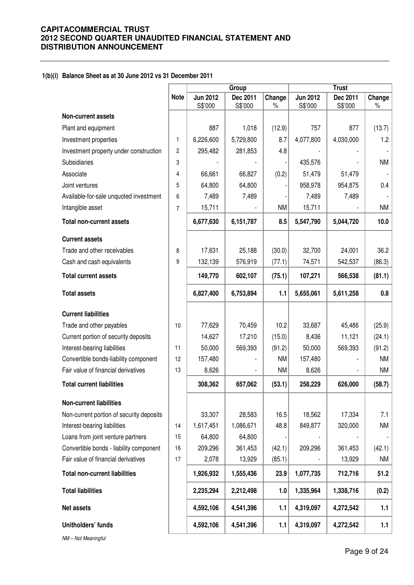## **1(b)(i) Balance Sheet as at 30 June 2012 vs 31 December 2011**

|                                          |                |                            | Group               |                | <b>Trust</b>               |                     |                |  |
|------------------------------------------|----------------|----------------------------|---------------------|----------------|----------------------------|---------------------|----------------|--|
|                                          | <b>Note</b>    | <b>Jun 2012</b><br>S\$'000 | Dec 2011<br>S\$'000 | Change<br>$\%$ | <b>Jun 2012</b><br>S\$'000 | Dec 2011<br>S\$'000 | Change<br>$\%$ |  |
| <b>Non-current assets</b>                |                |                            |                     |                |                            |                     |                |  |
| Plant and equipment                      |                | 887                        | 1,018               | (12.9)         | 757                        | 877                 | (13.7)         |  |
| Investment properties                    | 1              | 6,226,600                  | 5,729,800           | 8.7            | 4,077,800                  | 4,030,000           | 1.2            |  |
| Investment property under construction   | $\overline{2}$ | 295,482                    | 281,853             | 4.8            |                            |                     |                |  |
| <b>Subsidiaries</b>                      | 3              |                            |                     |                | 435,576                    |                     | <b>NM</b>      |  |
| Associate                                | 4              | 66,661                     | 66,827              | (0.2)          | 51,479                     | 51,479              |                |  |
| Joint ventures                           | 5              | 64,800                     | 64,800              |                | 958,978                    | 954,875             | 0.4            |  |
| Available-for-sale unquoted investment   | 6              | 7,489                      | 7,489               |                | 7,489                      | 7,489               |                |  |
| Intangible asset                         | $\overline{7}$ | 15,711                     |                     | <b>NM</b>      | 15,711                     |                     | NM             |  |
| <b>Total non-current assets</b>          |                | 6,677,630                  | 6,151,787           | 8.5            | 5,547,790                  | 5,044,720           | 10.0           |  |
| <b>Current assets</b>                    |                |                            |                     |                |                            |                     |                |  |
| Trade and other receivables              | 8              | 17,631                     | 25,188              | (30.0)         | 32,700                     | 24,001              | 36.2           |  |
| Cash and cash equivalents                | 9              | 132,139                    | 576,919             | (77.1)         | 74,571                     | 542,537             | (86.3)         |  |
| <b>Total current assets</b>              |                | 149,770                    | 602,107             | (75.1)         | 107,271                    | 566,538             | (81.1)         |  |
| <b>Total assets</b>                      |                | 6,827,400                  | 6,753,894           | 1.1            | 5,655,061                  | 5,611,258           | 0.8            |  |
| <b>Current liabilities</b>               |                |                            |                     |                |                            |                     |                |  |
| Trade and other payables                 | 10             | 77,629                     | 70,459              | 10.2           | 33,687                     | 45,486              | (25.9)         |  |
| Current portion of security deposits     |                | 14,627                     | 17,210              | (15.0)         | 8,436                      | 11,121              | (24.1)         |  |
| Interest-bearing liabilities             | 11             | 50,000                     | 569,393             | (91.2)         | 50,000                     | 569,393             | (91.2)         |  |
| Convertible bonds-liability component    | 12             | 157,480                    |                     | <b>NM</b>      | 157,480                    |                     | NM             |  |
| Fair value of financial derivatives      | 13             | 8,626                      |                     | <b>NM</b>      | 8,626                      |                     | NM             |  |
| <b>Total current liabilities</b>         |                | 308,362                    | 657,062             | (53.1)         | 258,229                    | 626,000             | (58.7)         |  |
| <b>Non-current liabilities</b>           |                |                            |                     |                |                            |                     |                |  |
| Non-current portion of security deposits |                | 33,307                     | 28,583              | 16.5           | 18,562                     | 17,334              | 7.1            |  |
| Interest-bearing liabilities             | 14             | 1,617,451                  | 1,086,671           | 48.8           | 849,877                    | 320,000             | <b>NM</b>      |  |
| Loans from joint venture partners        | 15             | 64,800                     | 64,800              |                |                            |                     |                |  |
| Convertible bonds - liability component  | 16             | 209,296                    | 361,453             | (42.1)         | 209,296                    | 361,453             | (42.1)         |  |
| Fair value of financial derivatives      | 17             | 2,078                      | 13,929              | (85.1)         |                            | 13,929              | <b>NM</b>      |  |
| <b>Total non-current liabilities</b>     |                | 1,926,932                  | 1,555,436           | 23.9           | 1,077,735                  | 712,716             | 51.2           |  |
| <b>Total liabilities</b>                 |                | 2,235,294                  | 2,212,498           | 1.0            | 1,335,964                  | 1,338,716           | (0.2)          |  |
| <b>Net assets</b>                        |                | 4,592,106                  | 4,541,396           | 1.1            | 4,319,097                  | 4,272,542           | 1.1            |  |
| Unitholders' funds                       |                | 4,592,106                  | 4,541,396           | 1.1            | 4,319,097                  | 4,272,542           | 1.1            |  |
|                                          |                |                            |                     |                |                            |                     |                |  |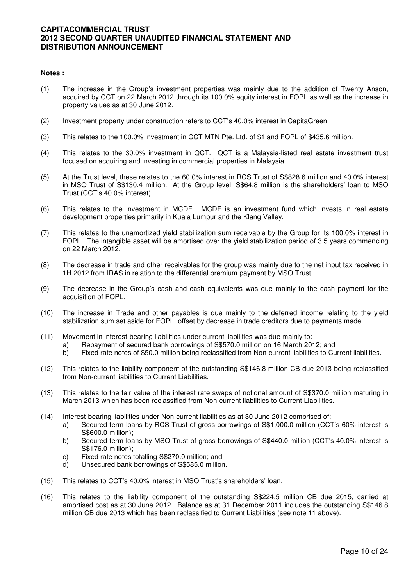## **Notes :**

- (1) The increase in the Group's investment properties was mainly due to the addition of Twenty Anson, acquired by CCT on 22 March 2012 through its 100.0% equity interest in FOPL as well as the increase in property values as at 30 June 2012.
- (2) Investment property under construction refers to CCT's 40.0% interest in CapitaGreen.
- (3) This relates to the 100.0% investment in CCT MTN Pte. Ltd. of \$1 and FOPL of \$435.6 million.
- (4) This relates to the 30.0% investment in QCT. QCT is a Malaysia-listed real estate investment trust focused on acquiring and investing in commercial properties in Malaysia.
- (5) At the Trust level, these relates to the 60.0% interest in RCS Trust of S\$828.6 million and 40.0% interest in MSO Trust of S\$130.4 million. At the Group level, S\$64.8 million is the shareholders' loan to MSO Trust (CCT's 40.0% interest).
- (6) This relates to the investment in MCDF. MCDF is an investment fund which invests in real estate development properties primarily in Kuala Lumpur and the Klang Valley.
- (7) This relates to the unamortized yield stabilization sum receivable by the Group for its 100.0% interest in FOPL. The intangible asset will be amortised over the yield stabilization period of 3.5 years commencing on 22 March 2012.
- (8) The decrease in trade and other receivables for the group was mainly due to the net input tax received in 1H 2012 from IRAS in relation to the differential premium payment by MSO Trust.
- (9) The decrease in the Group's cash and cash equivalents was due mainly to the cash payment for the acquisition of FOPL.
- (10) The increase in Trade and other payables is due mainly to the deferred income relating to the yield stabilization sum set aside for FOPL, offset by decrease in trade creditors due to payments made.
- (11) Movement in interest-bearing liabilities under current liabilities was due mainly to:
	- a) Repayment of secured bank borrowings of S\$570.0 million on 16 March 2012; and
	- b) Fixed rate notes of \$50.0 million being reclassified from Non-current liabilities to Current liabilities.
- (12) This relates to the liability component of the outstanding S\$146.8 million CB due 2013 being reclassified from Non-current liabilities to Current Liabilities.
- (13) This relates to the fair value of the interest rate swaps of notional amount of S\$370.0 miilion maturing in March 2013 which has been reclassified from Non-current liabilities to Current Liabilities.
- (14) Interest-bearing liabilities under Non-current liabilities as at 30 June 2012 comprised of:
	- a) Secured term loans by RCS Trust of gross borrowings of S\$1,000.0 million (CCT's 60% interest is S\$600.0 million);
	- b) Secured term loans by MSO Trust of gross borrowings of S\$440.0 million (CCT's 40.0% interest is S\$176.0 million);
	- c) Fixed rate notes totalling S\$270.0 million; and
	- d) Unsecured bank borrowings of S\$585.0 million.
- (15) This relates to CCT's 40.0% interest in MSO Trust's shareholders' loan.
- (16) This relates to the liability component of the outstanding S\$224.5 million CB due 2015, carried at amortised cost as at 30 June 2012. Balance as at 31 December 2011 includes the outstanding S\$146.8 million CB due 2013 which has been reclassified to Current Liabilities (see note 11 above).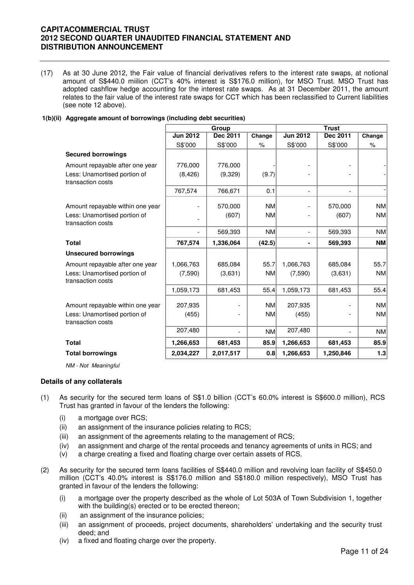(17) As at 30 June 2012, the Fair value of financial derivatives refers to the interest rate swaps, at notional amount of S\$440.0 miilion (CCT's 40% interest is S\$176.0 million), for MSO Trust. MSO Trust has adopted cashflow hedge accounting for the interest rate swaps. As at 31 December 2011, the amount relates to the fair value of the interest rate swaps for CCT which has been reclassified to Current liabilities (see note 12 above).

## **1(b)(ii) Aggregate amount of borrowings (including debt securities)**

|                                                   |                          | Group     |                      | <b>Trust</b>             |                          |           |
|---------------------------------------------------|--------------------------|-----------|----------------------|--------------------------|--------------------------|-----------|
|                                                   | <b>Jun 2012</b>          | Dec 2011  | Change               | <b>Jun 2012</b>          | Dec 2011                 | Change    |
|                                                   | S\$'000                  | S\$'000   | $\frac{1}{\sqrt{2}}$ | S\$'000                  | S\$'000                  | $\%$      |
| <b>Secured borrowings</b>                         |                          |           |                      |                          |                          |           |
| Amount repayable after one year                   | 776,000                  | 776,000   |                      |                          |                          |           |
| Less: Unamortised portion of<br>transaction costs | (8, 426)                 | (9,329)   | (9.7)                |                          |                          |           |
|                                                   | 767,574                  | 766,671   | 0.1                  | $\overline{\phantom{a}}$ | $\overline{\phantom{a}}$ |           |
| Amount repayable within one year                  |                          | 570,000   | <b>NM</b>            |                          | 570,000                  | NM        |
| Less: Unamortised portion of<br>transaction costs |                          | (607)     | <b>NM</b>            |                          | (607)                    | <b>NM</b> |
|                                                   | $\overline{\phantom{a}}$ | 569,393   | <b>NM</b>            |                          | 569,393                  | NM        |
| <b>Total</b>                                      | 767,574                  | 1,336,064 | (42.5)               |                          | 569,393                  | <b>NM</b> |
| <b>Unsecured borrowings</b>                       |                          |           |                      |                          |                          |           |
| Amount repayable after one year                   | 1,066,763                | 685,084   | 55.7                 | 1,066,763                | 685,084                  | 55.7      |
| Less: Unamortised portion of<br>transaction costs | (7,590)                  | (3,631)   | <b>NM</b>            | (7,590)                  | (3,631)                  | <b>NM</b> |
|                                                   | 1,059,173                | 681,453   | 55.4                 | 1,059,173                | 681,453                  | 55.4      |
| Amount repayable within one year                  | 207,935                  |           | <b>NM</b>            | 207,935                  |                          | <b>NM</b> |
| Less: Unamortised portion of<br>transaction costs | (455)                    |           | <b>NM</b>            | (455)                    |                          | <b>NM</b> |
|                                                   | 207,480                  |           | NM                   | 207,480                  | $\overline{\phantom{a}}$ | <b>NM</b> |
| <b>Total</b>                                      | 1,266,653                | 681,453   | 85.9                 | 1,266,653                | 681,453                  | 85.9      |
| <b>Total borrowings</b>                           | 2,034,227                | 2,017,517 | 0.8                  | 1,266,653                | 1,250,846                | 1.3       |

NM - Not Meaningful

## **Details of any collaterals**

- (1) As security for the secured term loans of S\$1.0 billion (CCT's 60.0% interest is S\$600.0 million), RCS Trust has granted in favour of the lenders the following:
	- (i) a mortgage over RCS;
	- (ii) an assignment of the insurance policies relating to RCS;
	- (iii) an assignment of the agreements relating to the management of RCS;
	- (iv) an assignment and charge of the rental proceeds and tenancy agreements of units in RCS; and
	- (v) a charge creating a fixed and floating charge over certain assets of RCS.
- (2) As security for the secured term loans facilities of S\$440.0 million and revolving loan facility of S\$450.0 million (CCT's 40.0% interest is S\$176.0 million and S\$180.0 million respectively), MSO Trust has granted in favour of the lenders the following:
	- (i) a mortgage over the property described as the whole of Lot 503A of Town Subdivision 1, together with the building(s) erected or to be erected thereon;
	- (ii) an assignment of the insurance policies;
	- (iii) an assignment of proceeds, project documents, shareholders' undertaking and the security trust deed; and
	- (iv) a fixed and floating charge over the property.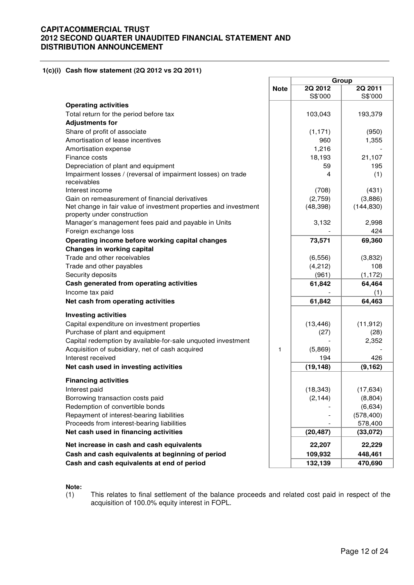## **1(c)(i) Cash flow statement (2Q 2012 vs 2Q 2011)**

|                                                                                                 |             | Group              |                    |  |
|-------------------------------------------------------------------------------------------------|-------------|--------------------|--------------------|--|
|                                                                                                 | <b>Note</b> | 2Q 2012<br>S\$'000 | 2Q 2011<br>S\$'000 |  |
| <b>Operating activities</b>                                                                     |             |                    |                    |  |
| Total return for the period before tax                                                          |             | 103,043            | 193,379            |  |
| <b>Adjustments for</b>                                                                          |             |                    |                    |  |
| Share of profit of associate                                                                    |             | (1, 171)           | (950)              |  |
| Amortisation of lease incentives                                                                |             | 960                | 1,355              |  |
| Amortisation expense                                                                            |             | 1,216              |                    |  |
| Finance costs                                                                                   |             | 18,193             | 21,107             |  |
| Depreciation of plant and equipment                                                             |             | 59                 | 195                |  |
| Impairment losses / (reversal of impairment losses) on trade<br>receivables                     |             | 4                  | (1)                |  |
| Interest income                                                                                 |             | (708)              | (431)              |  |
| Gain on remeasurement of financial derivatives                                                  |             | (2,759)            | (3,886)            |  |
| Net change in fair value of investment properties and investment<br>property under construction |             | (48, 398)          | (144, 830)         |  |
| Manager's management fees paid and payable in Units                                             |             | 3,132              | 2,998              |  |
| Foreign exchange loss                                                                           |             |                    | 424                |  |
| Operating income before working capital changes                                                 |             | 73,571             | 69,360             |  |
| <b>Changes in working capital</b>                                                               |             |                    |                    |  |
| Trade and other receivables                                                                     |             | (6, 556)           | (3,832)            |  |
| Trade and other payables                                                                        |             | (4,212)            | 108                |  |
| Security deposits                                                                               |             | (961)              | (1, 172)           |  |
| Cash generated from operating activities<br>Income tax paid                                     |             | 61,842             | 64,464<br>(1)      |  |
| Net cash from operating activities                                                              |             | 61,842             | 64,463             |  |
| <b>Investing activities</b>                                                                     |             |                    |                    |  |
| Capital expenditure on investment properties                                                    |             | (13, 446)          | (11, 912)          |  |
| Purchase of plant and equipment                                                                 |             | (27)               | (28)               |  |
| Capital redemption by available-for-sale unquoted investment                                    |             |                    | 2,352              |  |
| Acquisition of subsidiary, net of cash acquired                                                 | 1           | (5,869)            |                    |  |
| Interest received                                                                               |             | 194                | 426                |  |
| Net cash used in investing activities                                                           |             | (19, 148)          | (9, 162)           |  |
| <b>Financing activities</b>                                                                     |             |                    |                    |  |
| Interest paid                                                                                   |             | (18, 343)          | (17, 634)          |  |
| Borrowing transaction costs paid                                                                |             | (2, 144)           | (8,804)            |  |
| Redemption of convertible bonds                                                                 |             |                    | (6,634)            |  |
| Repayment of interest-bearing liabilities                                                       |             |                    | (578, 400)         |  |
| Proceeds from interest-bearing liabilities                                                      |             |                    | 578,400            |  |
| Net cash used in financing activities                                                           |             | (20, 487)          | (33,072)           |  |
| Net increase in cash and cash equivalents                                                       |             | 22,207             | 22,229             |  |
| Cash and cash equivalents at beginning of period                                                |             | 109,932            | 448,461            |  |
| Cash and cash equivalents at end of period                                                      |             | 132,139            | 470,690            |  |

## **Note:**

(1) This relates to final settlement of the balance proceeds and related cost paid in respect of the acquisition of 100.0% equity interest in FOPL.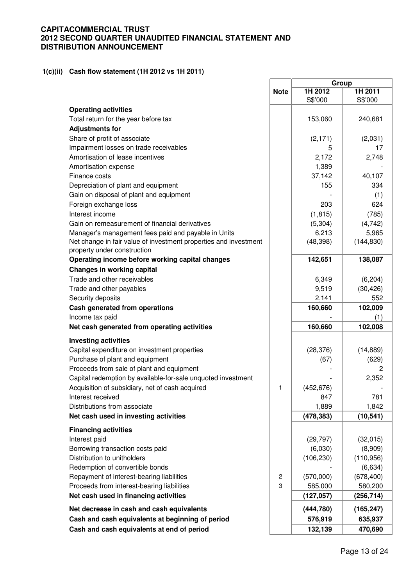## **1(c)(ii) Cash flow statement (1H 2012 vs 1H 2011)**

|                                                                  |                | Group      |            |  |
|------------------------------------------------------------------|----------------|------------|------------|--|
|                                                                  | <b>Note</b>    | 1H 2012    | 1H 2011    |  |
|                                                                  |                | S\$'000    | S\$'000    |  |
| <b>Operating activities</b>                                      |                |            |            |  |
| Total return for the year before tax                             |                | 153,060    | 240,681    |  |
| <b>Adjustments for</b>                                           |                |            |            |  |
| Share of profit of associate                                     |                |            |            |  |
|                                                                  |                | (2, 171)   | (2,031)    |  |
| Impairment losses on trade receivables                           |                | 5          | 17         |  |
| Amortisation of lease incentives                                 |                | 2,172      | 2,748      |  |
| Amortisation expense                                             |                | 1,389      |            |  |
| Finance costs                                                    |                | 37,142     | 40,107     |  |
| Depreciation of plant and equipment                              |                | 155        | 334        |  |
| Gain on disposal of plant and equipment                          |                |            | (1)        |  |
| Foreign exchange loss                                            |                | 203        | 624        |  |
| Interest income                                                  |                | (1, 815)   | (785)      |  |
| Gain on remeasurement of financial derivatives                   |                | (5,304)    | (4, 742)   |  |
| Manager's management fees paid and payable in Units              |                | 6,213      | 5,965      |  |
| Net change in fair value of investment properties and investment |                | (48, 398)  | (144, 830) |  |
| property under construction                                      |                |            |            |  |
| Operating income before working capital changes                  |                | 142,651    | 138,087    |  |
| <b>Changes in working capital</b>                                |                |            |            |  |
| Trade and other receivables                                      |                | 6,349      | (6, 204)   |  |
| Trade and other payables                                         |                | 9,519      | (30, 426)  |  |
| Security deposits                                                |                | 2,141      | 552        |  |
| Cash generated from operations                                   |                | 160,660    | 102,009    |  |
| Income tax paid                                                  |                |            | (1)        |  |
| Net cash generated from operating activities                     |                | 160,660    | 102,008    |  |
|                                                                  |                |            |            |  |
| <b>Investing activities</b>                                      |                |            |            |  |
| Capital expenditure on investment properties                     |                | (28, 376)  | (14, 889)  |  |
| Purchase of plant and equipment                                  |                | (67)       | (629)      |  |
| Proceeds from sale of plant and equipment                        |                |            | 2          |  |
| Capital redemption by available-for-sale unquoted investment     |                |            | 2,352      |  |
| Acquisition of subsidiary, net of cash acquired                  | 1              | (452, 676) |            |  |
| Interest received                                                |                | 847        | 781        |  |
| Distributions from associate                                     |                | 1,889      | 1,842      |  |
| Net cash used in investing activities                            |                | (478, 383) | (10, 541)  |  |
| <b>Financing activities</b>                                      |                |            |            |  |
| Interest paid                                                    |                | (29, 797)  | (32,015)   |  |
| Borrowing transaction costs paid                                 |                | (6,030)    | (8,909)    |  |
| Distribution to unitholders                                      |                | (106, 230) | (110, 956) |  |
| Redemption of convertible bonds                                  |                |            | (6, 634)   |  |
| Repayment of interest-bearing liabilities                        | $\overline{2}$ | (570,000)  | (678, 400) |  |
| Proceeds from interest-bearing liabilities                       | 3              | 585,000    | 580,200    |  |
| Net cash used in financing activities                            |                | (127, 057) | (256, 714) |  |
|                                                                  |                |            |            |  |
| Net decrease in cash and cash equivalents                        |                | (444, 780) | (165, 247) |  |
| Cash and cash equivalents at beginning of period                 |                | 576,919    | 635,937    |  |
| Cash and cash equivalents at end of period                       |                | 132,139    | 470,690    |  |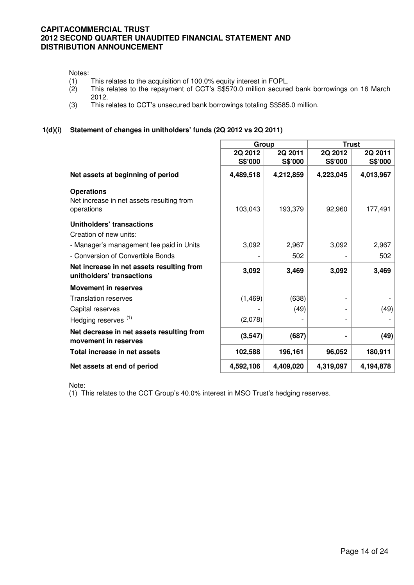#### Notes:

- 
- (1) This relates to the acquisition of 100.0% equity interest in FOPL.<br>(2) This relates to the repayment of CCT's S\$570.0 million secure This relates to the repayment of CCT's S\$570.0 million secured bank borrowings on 16 March 2012.
- (3) This relates to CCT's unsecured bank borrowings totaling S\$585.0 million.

## **1(d)(i) Statement of changes in unitholders' funds (2Q 2012 vs 2Q 2011)**

|                                                                              | Group              |                    | <b>Trust</b>       |                    |  |
|------------------------------------------------------------------------------|--------------------|--------------------|--------------------|--------------------|--|
|                                                                              | 2Q 2012<br>S\$'000 | 2Q 2011<br>S\$'000 | 2Q 2012<br>S\$'000 | 2Q 2011<br>S\$'000 |  |
| Net assets at beginning of period                                            | 4,489,518          | 4,212,859          | 4,223,045          | 4,013,967          |  |
| <b>Operations</b><br>Net increase in net assets resulting from<br>operations | 103,043            | 193,379            | 92,960             | 177,491            |  |
| Unitholders' transactions<br>Creation of new units:                          |                    |                    |                    |                    |  |
| - Manager's management fee paid in Units                                     | 3,092              | 2,967              | 3,092              | 2,967              |  |
| - Conversion of Convertible Bonds                                            |                    | 502                |                    | 502                |  |
| Net increase in net assets resulting from<br>unitholders' transactions       | 3,092              | 3,469              | 3,092              | 3,469              |  |
| <b>Movement in reserves</b>                                                  |                    |                    |                    |                    |  |
| <b>Translation reserves</b>                                                  | (1, 469)           | (638)              |                    |                    |  |
| Capital reserves                                                             |                    | (49)               |                    | (49)               |  |
| Hedging reserves <sup>(1)</sup>                                              | (2,078)            |                    |                    |                    |  |
| Net decrease in net assets resulting from<br>movement in reserves            | (3, 547)           | (687)              |                    | (49)               |  |
| Total increase in net assets                                                 | 102,588            | 196,161            | 96,052             | 180,911            |  |
| Net assets at end of period                                                  | 4,592,106          | 4,409,020          | 4,319,097          | 4,194,878          |  |

Note:

(1) This relates to the CCT Group's 40.0% interest in MSO Trust's hedging reserves.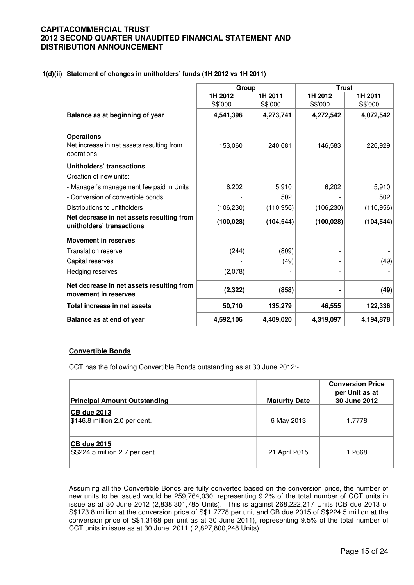## **1(d)(ii) Statement of changes in unitholders' funds (1H 2012 vs 1H 2011)**

|                                                                              | Group      |            |            | <b>Trust</b> |
|------------------------------------------------------------------------------|------------|------------|------------|--------------|
|                                                                              | 1H 2012    | 1H 2011    | 1H 2012    | 1H 2011      |
|                                                                              | S\$'000    | S\$'000    | S\$'000    | S\$'000      |
| Balance as at beginning of year                                              | 4,541,396  | 4,273,741  | 4,272,542  | 4,072,542    |
| <b>Operations</b><br>Net increase in net assets resulting from<br>operations | 153,060    | 240,681    | 146,583    | 226,929      |
| Unitholders' transactions<br>Creation of new units:                          |            |            |            |              |
| - Manager's management fee paid in Units                                     | 6,202      | 5,910      | 6,202      | 5,910        |
| - Conversion of convertible bonds                                            |            | 502        |            | 502          |
| Distributions to unitholders                                                 | (106, 230) | (110, 956) | (106, 230) | (110, 956)   |
| Net decrease in net assets resulting from<br>unitholders' transactions       | (100, 028) | (104, 544) | (100, 028) | (104, 544)   |
| <b>Movement in reserves</b>                                                  |            |            |            |              |
| <b>Translation reserve</b>                                                   | (244)      | (809)      |            |              |
| Capital reserves                                                             |            | (49)       |            | (49)         |
| Hedging reserves                                                             | (2,078)    |            |            |              |
| Net decrease in net assets resulting from<br>movement in reserves            | (2, 322)   | (858)      |            | (49)         |
| Total increase in net assets                                                 | 50,710     | 135,279    | 46,555     | 122,336      |
| Balance as at end of year                                                    | 4,592,106  | 4,409,020  | 4,319,097  | 4,194,878    |

## **Convertible Bonds**

CCT has the following Convertible Bonds outstanding as at 30 June 2012:-

| <b>Principal Amount Outstanding</b>                    | <b>Maturity Date</b> | <b>Conversion Price</b><br>per Unit as at<br>30 June 2012 |
|--------------------------------------------------------|----------------------|-----------------------------------------------------------|
| <b>CB due 2013</b><br>$ \$146.8$ million 2.0 per cent. | 6 May 2013           | 1.7778                                                    |
| <b>CB due 2015</b><br>S\$224.5 million 2.7 per cent.   | 21 April 2015        | 1.2668                                                    |

Assuming all the Convertible Bonds are fully converted based on the conversion price, the number of new units to be issued would be 259,764,030, representing 9.2% of the total number of CCT units in issue as at 30 June 2012 (2,838,301,785 Units). This is against 268,222,217 Units (CB due 2013 of S\$173.8 million at the conversion price of S\$1.7778 per unit and CB due 2015 of S\$224.5 million at the conversion price of S\$1.3168 per unit as at 30 June 2011), representing 9.5% of the total number of CCT units in issue as at 30 June 2011 ( 2,827,800,248 Units).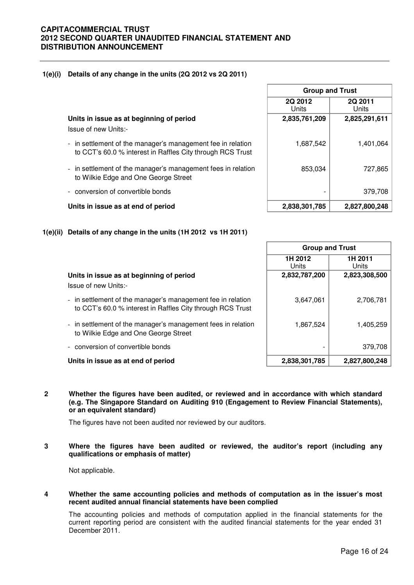## **1(e)(i) Details of any change in the units (2Q 2012 vs 2Q 2011)**

**Units in issue as at beginning of period** 

Issue of new Units:-

- in settlement of the manager's management fee in relation to CCT's 60.0 % interest in Raffles City through RCS Trust
- in settlement of the manager's management fees in relation to Wilkie Edge and One George Street
- conversion of convertible bonds



# **1(e)(ii) Details of any change in the units (1H 2012 vs 1H 2011)**

|                                                                                                                           | <b>Group and Trust</b> |                         |  |
|---------------------------------------------------------------------------------------------------------------------------|------------------------|-------------------------|--|
|                                                                                                                           | 1H 2012<br>Units       | 1H 2011<br><b>Units</b> |  |
| Units in issue as at beginning of period                                                                                  | 2,832,787,200          | 2,823,308,500           |  |
| Issue of new Units:-                                                                                                      |                        |                         |  |
| - in settlement of the manager's management fee in relation<br>to CCT's 60.0 % interest in Raffles City through RCS Trust | 3,647,061              | 2,706,781               |  |
| - in settlement of the manager's management fees in relation<br>to Wilkie Edge and One George Street                      | 1,867,524              | 1,405,259               |  |
| - conversion of convertible bonds                                                                                         |                        | 379,708                 |  |
| Units in issue as at end of period                                                                                        | 2,838,301,785          | 2,827,800,248           |  |

Л

**2 Whether the figures have been audited, or reviewed and in accordance with which standard (e.g. The Singapore Standard on Auditing 910 (Engagement to Review Financial Statements), or an equivalent standard)** 

The figures have not been audited nor reviewed by our auditors.

**3 Where the figures have been audited or reviewed, the auditor's report (including any qualifications or emphasis of matter)** 

Not applicable.

**4 Whether the same accounting policies and methods of computation as in the issuer's most recent audited annual financial statements have been complied** 

The accounting policies and methods of computation applied in the financial statements for the current reporting period are consistent with the audited financial statements for the year ended 31 December 2011.

| <b>Group and Trust</b> |                  |  |  |  |
|------------------------|------------------|--|--|--|
| 2Q 2012<br>Units       | 2Q 2011<br>Units |  |  |  |
| 2,835,761,209          | 2,825,291,611    |  |  |  |
| 1,687,542              | 1,401,064        |  |  |  |
| 853,034                | 727,865          |  |  |  |
|                        | 379,708          |  |  |  |
| 2 838 301 785          | 2 827 800 248    |  |  |  |

٦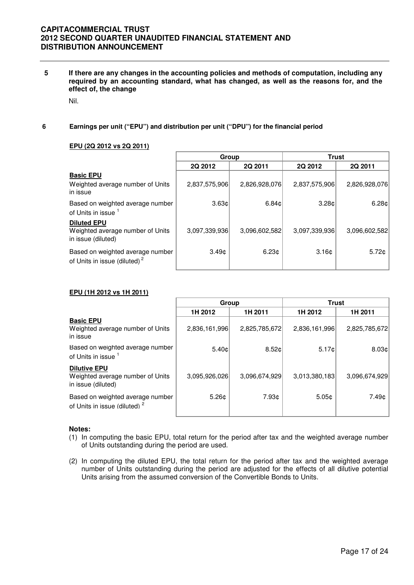**5 If there are any changes in the accounting policies and methods of computation, including any required by an accounting standard, what has changed, as well as the reasons for, and the effect of, the change** 

Nil.

## **6 Earnings per unit ("EPU") and distribution per unit ("DPU") for the financial period**

## **EPU (2Q 2012 vs 2Q 2011)**

|                                                                              | Group             |               | <b>Trust</b>      |                   |
|------------------------------------------------------------------------------|-------------------|---------------|-------------------|-------------------|
|                                                                              | 2Q 2012           | 2Q 2011       | 2Q 2012           | 2Q 2011           |
| <b>Basic EPU</b><br>Weighted average number of Units<br>in issue             | 2,837,575,906     | 2,826,928,076 | 2,837,575,906     | 2,826,928,076     |
| Based on weighted average number<br>of Units in issue                        | $3.63 \text{C}$   | 6.84c         | 3.28 <sub>0</sub> | 6.28 <sub>¢</sub> |
| <b>Diluted EPU</b><br>Weighted average number of Units<br>in issue (diluted) | 3,097,339,936     | 3.096.602.582 | 3,097,339,936     | 3,096,602,582     |
| Based on weighted average number<br>of Units in issue (diluted) <sup>2</sup> | 3.49 <sub>c</sub> | 6.23c         | 3.16 <sub>c</sub> | 5.72c             |

## **EPU (1H 2012 vs 1H 2011)**

|                                                                               | Group         |                   | <b>Trust</b>  |                   |
|-------------------------------------------------------------------------------|---------------|-------------------|---------------|-------------------|
|                                                                               | 1H 2012       | 1H 2011           | 1H 2012       | 1H 2011           |
| <b>Basic EPU</b><br>Weighted average number of Units<br>in issue              | 2,836,161,996 | 2,825,785,672     | 2,836,161,996 | 2,825,785,672     |
| Based on weighted average number<br>of Units in issue 1                       | 5.40c         | 8.52 <sub>¢</sub> | 5.17c         | 8.03 <sub>¢</sub> |
| <b>Dilutive EPU</b><br>Weighted average number of Units<br>in issue (diluted) | 3.095.926.026 | 3,096,674,929     | 3,013,380,183 | 3,096,674,929     |
| Based on weighted average number<br>of Units in issue (diluted) <sup>2</sup>  | 5.26c         | 7.93¢             | 5.05c         | 7.49¢             |

## **Notes:**

- (1) In computing the basic EPU, total return for the period after tax and the weighted average number of Units outstanding during the period are used.
- (2) In computing the diluted EPU, the total return for the period after tax and the weighted average number of Units outstanding during the period are adjusted for the effects of all dilutive potential Units arising from the assumed conversion of the Convertible Bonds to Units.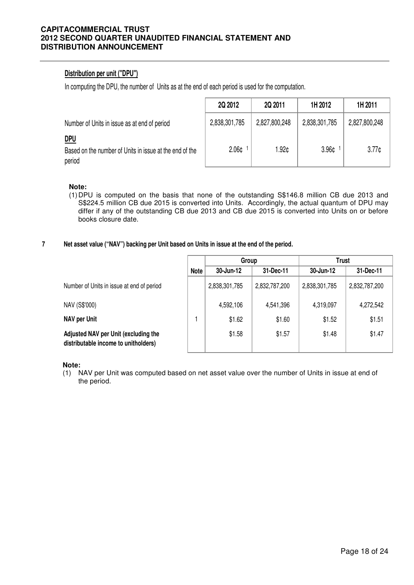# **Distribution per unit ("DPU")**

In computing the DPU, the number of Units as at the end of each period is used for the computation.

|                                                                                 | 2Q 2012           | 2Q 2011       | 1H 2012       | 1H 2011       |
|---------------------------------------------------------------------------------|-------------------|---------------|---------------|---------------|
| Number of Units in issue as at end of period                                    | 2,838,301,785     | 2,827,800,248 | 2,838,301,785 | 2,827,800,248 |
| <u>DPU</u><br>Based on the number of Units in issue at the end of the<br>period | 2.06 <sub>¢</sub> | 1.92¢         | 3.96¢         | 3.77c         |

## **Note:**

- (1) DPU is computed on the basis that none of the outstanding S\$146.8 million CB due 2013 and S\$224.5 million CB due 2015 is converted into Units. Accordingly, the actual quantum of DPU may differ if any of the outstanding CB due 2013 and CB due 2015 is converted into Units on or before books closure date.
- **7 Net asset value ("NAV") backing per Unit based on Units in issue at the end of the period.**

|                                                                              |             | Group         |               | Trust         |               |
|------------------------------------------------------------------------------|-------------|---------------|---------------|---------------|---------------|
|                                                                              | <b>Note</b> | 30-Jun-12     | 31-Dec-11     | 30-Jun-12     | 31-Dec-11     |
| Number of Units in issue at end of period                                    |             | 2,838,301,785 | 2,832,787,200 | 2,838,301,785 | 2,832,787,200 |
| NAV (S\$'000)                                                                |             | 4,592,106     | 4,541,396     | 4,319,097     | 4,272,542     |
| <b>NAV per Unit</b>                                                          |             | \$1.62        | \$1.60        | \$1.52        | \$1.51        |
| Adjusted NAV per Unit (excluding the<br>distributable income to unitholders) |             | \$1.58        | \$1.57        | \$1.48        | \$1.47        |

**Note:**

(1) NAV per Unit was computed based on net asset value over the number of Units in issue at end of the period.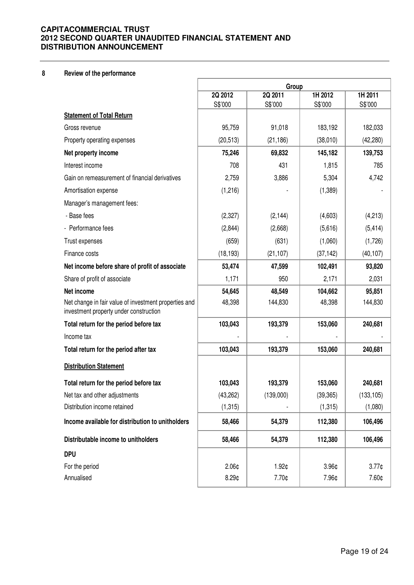## **8 Review of the performance**

|                                                                                                 | Group              |                    |                    |                    |
|-------------------------------------------------------------------------------------------------|--------------------|--------------------|--------------------|--------------------|
|                                                                                                 | 2Q 2012<br>S\$'000 | 2Q 2011<br>S\$'000 | 1H 2012<br>S\$'000 | 1H 2011<br>S\$'000 |
| <b>Statement of Total Return</b>                                                                |                    |                    |                    |                    |
| Gross revenue                                                                                   | 95,759             | 91,018             | 183,192            | 182,033            |
| Property operating expenses                                                                     | (20, 513)          | (21, 186)          | (38,010)           | (42, 280)          |
| Net property income                                                                             | 75,246             | 69,832             | 145,182            | 139,753            |
| Interest income                                                                                 | 708                | 431                | 1,815              | 785                |
| Gain on remeasurement of financial derivatives                                                  | 2,759              | 3,886              | 5,304              | 4,742              |
| Amortisation expense                                                                            | (1,216)            |                    | (1,389)            |                    |
| Manager's management fees:                                                                      |                    |                    |                    |                    |
| - Base fees                                                                                     | (2,327)            | (2, 144)           | (4,603)            | (4,213)            |
| - Performance fees                                                                              | (2,844)            | (2,668)            | (5,616)            | (5, 414)           |
| Trust expenses                                                                                  | (659)              | (631)              | (1,060)            | (1,726)            |
| Finance costs                                                                                   | (18, 193)          | (21, 107)          | (37, 142)          | (40, 107)          |
| Net income before share of profit of associate                                                  | 53,474             | 47,599             | 102,491            | 93,820             |
| Share of profit of associate                                                                    | 1,171              | 950                | 2,171              | 2,031              |
| Net income                                                                                      | 54,645             | 48,549             | 104,662            | 95,851             |
| Net change in fair value of investment properties and<br>investment property under construction | 48,398             | 144,830            | 48,398             | 144,830            |
| Total return for the period before tax                                                          | 103,043            | 193,379            | 153,060            | 240,681            |
| Income tax                                                                                      |                    |                    |                    |                    |
| Total return for the period after tax                                                           | 103,043            | 193,379            | 153,060            | 240,681            |
| <b>Distribution Statement</b>                                                                   |                    |                    |                    |                    |
| Total return for the period before tax                                                          | 103,043            | 193,379            | 153,060            | 240,681            |
| Net tax and other adjustments                                                                   | (43, 262)          | (139,000)          | (39, 365)          | (133, 105)         |
| Distribution income retained                                                                    | (1,315)            |                    | (1, 315)           | (1,080)            |
| Income available for distribution to unitholders                                                | 58,466             | 54,379             | 112,380            | 106,496            |
| Distributable income to unitholders                                                             | 58,466             | 54,379             | 112,380            | 106,496            |
| <b>DPU</b>                                                                                      |                    |                    |                    |                    |
| For the period                                                                                  | 2.06 <sub>¢</sub>  | 1.92¢              | 3.96¢              | 3.77 <sub>0</sub>  |
| Annualised                                                                                      | $8.29$ ¢           | 7.70¢              | 7.96¢              | 7.60¢              |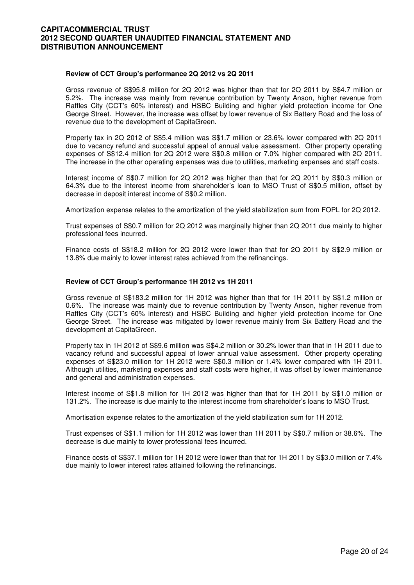#### **Review of CCT Group's performance 2Q 2012 vs 2Q 2011**

 Gross revenue of S\$95.8 million for 2Q 2012 was higher than that for 2Q 2011 by S\$4.7 million or 5.2%. The increase was mainly from revenue contribution by Twenty Anson, higher revenue from Raffles City (CCT's 60% interest) and HSBC Building and higher yield protection income for One George Street. However, the increase was offset by lower revenue of Six Battery Road and the loss of revenue due to the development of CapitaGreen.

Property tax in 2Q 2012 of S\$5.4 million was S\$1.7 million or 23.6% lower compared with 2Q 2011 due to vacancy refund and successful appeal of annual value assessment. Other property operating expenses of S\$12.4 million for 2Q 2012 were S\$0.8 million or 7.0% higher compared with 2Q 2011. The increase in the other operating expenses was due to utilities, marketing expenses and staff costs.

Interest income of S\$0.7 million for 2Q 2012 was higher than that for 2Q 2011 by S\$0.3 million or 64.3% due to the interest income from shareholder's loan to MSO Trust of S\$0.5 million, offset by decrease in deposit interest income of S\$0.2 million.

Amortization expense relates to the amortization of the yield stabilization sum from FOPL for 2Q 2012.

Trust expenses of S\$0.7 million for 2Q 2012 was marginally higher than 2Q 2011 due mainly to higher professional fees incurred.

Finance costs of S\$18.2 million for 2Q 2012 were lower than that for 2Q 2011 by S\$2.9 million or 13.8% due mainly to lower interest rates achieved from the refinancings.

## **Review of CCT Group's performance 1H 2012 vs 1H 2011**

Gross revenue of S\$183.2 million for 1H 2012 was higher than that for 1H 2011 by S\$1.2 million or 0.6%. The increase was mainly due to revenue contribution by Twenty Anson, higher revenue from Raffles City (CCT's 60% interest) and HSBC Building and higher yield protection income for One George Street. The increase was mitigated by lower revenue mainly from Six Battery Road and the development at CapitaGreen.

Property tax in 1H 2012 of S\$9.6 million was S\$4.2 million or 30.2% lower than that in 1H 2011 due to vacancy refund and successful appeal of lower annual value assessment. Other property operating expenses of S\$23.0 million for 1H 2012 were S\$0.3 million or 1.4% lower compared with 1H 2011. Although utilities, marketing expenses and staff costs were higher, it was offset by lower maintenance and general and administration expenses.

Interest income of S\$1.8 million for 1H 2012 was higher than that for 1H 2011 by S\$1.0 million or 131.2%. The increase is due mainly to the interest income from shareholder's loans to MSO Trust.

Amortisation expense relates to the amortization of the yield stabilization sum for 1H 2012.

Trust expenses of S\$1.1 million for 1H 2012 was lower than 1H 2011 by S\$0.7 million or 38.6%. The decrease is due mainly to lower professional fees incurred.

Finance costs of S\$37.1 million for 1H 2012 were lower than that for 1H 2011 by S\$3.0 million or 7.4% due mainly to lower interest rates attained following the refinancings.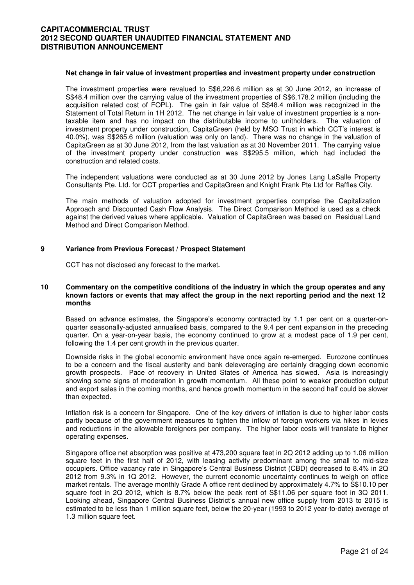#### **Net change in fair value of investment properties and investment property under construction**

The investment properties were revalued to S\$6,226.6 million as at 30 June 2012, an increase of S\$48.4 million over the carrying value of the investment properties of S\$6,178.2 million (including the acquisition related cost of FOPL). The gain in fair value of S\$48.4 million was recognized in the Statement of Total Return in 1H 2012. The net change in fair value of investment properties is a nontaxable item and has no impact on the distributable income to unitholders. The valuation of investment property under construction, CapitaGreen (held by MSO Trust in which CCT's interest is 40.0%), was S\$265.6 million (valuation was only on land). There was no change in the valuation of CapitaGreen as at 30 June 2012, from the last valuation as at 30 November 2011. The carrying value of the investment property under construction was S\$295.5 million, which had included the construction and related costs.

The independent valuations were conducted as at 30 June 2012 by Jones Lang LaSalle Property Consultants Pte. Ltd. for CCT properties and CapitaGreen and Knight Frank Pte Ltd for Raffles City.

The main methods of valuation adopted for investment properties comprise the Capitalization Approach and Discounted Cash Flow Analysis. The Direct Comparison Method is used as a check against the derived values where applicable. Valuation of CapitaGreen was based on Residual Land Method and Direct Comparison Method.

## **9 Variance from Previous Forecast / Prospect Statement**

CCT has not disclosed any forecast to the market**.** 

## **10 Commentary on the competitive conditions of the industry in which the group operates and any known factors or events that may affect the group in the next reporting period and the next 12 months**

Based on advance estimates, the Singapore's economy contracted by 1.1 per cent on a quarter-onquarter seasonally-adjusted annualised basis, compared to the 9.4 per cent expansion in the preceding quarter. On a year-on-year basis, the economy continued to grow at a modest pace of 1.9 per cent, following the 1.4 per cent growth in the previous quarter.

Downside risks in the global economic environment have once again re-emerged. Eurozone continues to be a concern and the fiscal austerity and bank deleveraging are certainly dragging down economic growth prospects. Pace of recovery in United States of America has slowed. Asia is increasingly showing some signs of moderation in growth momentum. All these point to weaker production output and export sales in the coming months, and hence growth momentum in the second half could be slower than expected.

Inflation risk is a concern for Singapore. One of the key drivers of inflation is due to higher labor costs partly because of the government measures to tighten the inflow of foreign workers via hikes in levies and reductions in the allowable foreigners per company. The higher labor costs will translate to higher operating expenses.

Singapore office net absorption was positive at 473,200 square feet in 2Q 2012 adding up to 1.06 million square feet in the first half of 2012, with leasing activity predominant among the small to mid-size occupiers. Office vacancy rate in Singapore's Central Business District (CBD) decreased to 8.4% in 2Q 2012 from 9.3% in 1Q 2012. However, the current economic uncertainty continues to weigh on office market rentals. The average monthly Grade A office rent declined by approximately 4.7% to S\$10.10 per square foot in 2Q 2012, which is 8.7% below the peak rent of S\$11.06 per square foot in 3Q 2011. Looking ahead, Singapore Central Business District's annual new office supply from 2013 to 2015 is estimated to be less than 1 million square feet, below the 20-year (1993 to 2012 year-to-date) average of 1.3 million square feet.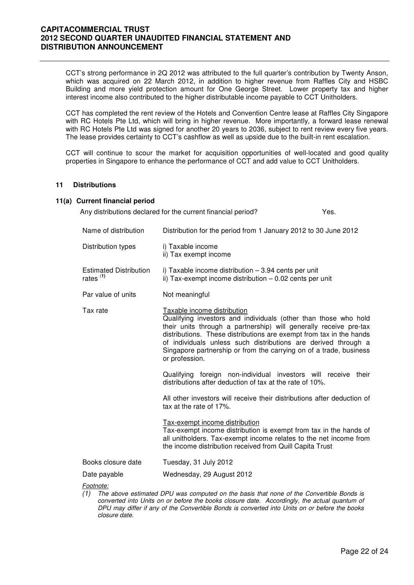CCT's strong performance in 2Q 2012 was attributed to the full quarter's contribution by Twenty Anson, which was acquired on 22 March 2012, in addition to higher revenue from Raffles City and HSBC Building and more yield protection amount for One George Street. Lower property tax and higher interest income also contributed to the higher distributable income payable to CCT Unitholders.

CCT has completed the rent review of the Hotels and Convention Centre lease at Raffles City Singapore with RC Hotels Pte Ltd, which will bring in higher revenue. More importantly, a forward lease renewal with RC Hotels Pte Ltd was signed for another 20 years to 2036, subject to rent review every five years. The lease provides certainty to CCT's cashflow as well as upside due to the built-in rent escalation.

CCT will continue to scour the market for acquisition opportunities of well-located and good quality properties in Singapore to enhance the performance of CCT and add value to CCT Unitholders.

## **11 Distributions**

#### **11(a) Current financial period**

Any distributions declared for the current financial period? Yes.

| Name of distribution                                  | Distribution for the period from 1 January 2012 to 30 June 2012                                                                                                                                                                                                                                                                                                                                      |
|-------------------------------------------------------|------------------------------------------------------------------------------------------------------------------------------------------------------------------------------------------------------------------------------------------------------------------------------------------------------------------------------------------------------------------------------------------------------|
| Distribution types                                    | i) Taxable income<br>ii) Tax exempt income                                                                                                                                                                                                                                                                                                                                                           |
| <b>Estimated Distribution</b><br>rates <sup>(1)</sup> | i) Taxable income distribution - 3.94 cents per unit<br>ii) Tax-exempt income distribution $-0.02$ cents per unit                                                                                                                                                                                                                                                                                    |
| Par value of units                                    | Not meaningful                                                                                                                                                                                                                                                                                                                                                                                       |
| Tax rate                                              | Taxable income distribution<br>Qualifying investors and individuals (other than those who hold<br>their units through a partnership) will generally receive pre-tax<br>distributions. These distributions are exempt from tax in the hands<br>of individuals unless such distributions are derived through a<br>Singapore partnership or from the carrying on of a trade, business<br>or profession. |
|                                                       | Qualifying foreign non-individual investors will receive their<br>distributions after deduction of tax at the rate of 10%.                                                                                                                                                                                                                                                                           |
|                                                       | All other investors will receive their distributions after deduction of<br>tax at the rate of 17%.                                                                                                                                                                                                                                                                                                   |
|                                                       | Tax-exempt income distribution<br>Tax-exempt income distribution is exempt from tax in the hands of<br>all unitholders. Tax-exempt income relates to the net income from<br>the income distribution received from Quill Capita Trust                                                                                                                                                                 |
| Books closure date                                    | Tuesday, 31 July 2012                                                                                                                                                                                                                                                                                                                                                                                |
| Date payable                                          | Wednesday, 29 August 2012                                                                                                                                                                                                                                                                                                                                                                            |
| Footnote:<br>(1)                                      | The above estimated DPU was computed on the basis that none of the Convertible Bonds is<br>converted into Units on or before the books closure date. Accordingly, the actual quantum of                                                                                                                                                                                                              |

converted into Units on or before the books closure date. Accordingly, the actual quantum of DPU may differ if any of the Convertible Bonds is converted into Units on or before the books closure date.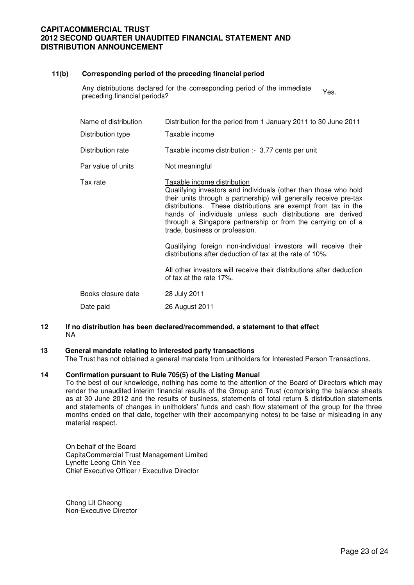## **11(b) Corresponding period of the preceding financial period**

Any distributions declared for the corresponding period of the immediate Any distributions declared for the corresponding period of the immediate Yes.<br>preceding financial periods?

| Name of distribution<br>Distribution type | Distribution for the period from 1 January 2011 to 30 June 2011<br>Taxable income                                                                                                                                                                                                                                                                                                                    |
|-------------------------------------------|------------------------------------------------------------------------------------------------------------------------------------------------------------------------------------------------------------------------------------------------------------------------------------------------------------------------------------------------------------------------------------------------------|
| Distribution rate                         | Taxable income distribution :- 3.77 cents per unit                                                                                                                                                                                                                                                                                                                                                   |
| Par value of units                        | Not meaningful                                                                                                                                                                                                                                                                                                                                                                                       |
| Tax rate                                  | Taxable income distribution<br>Qualifying investors and individuals (other than those who hold<br>their units through a partnership) will generally receive pre-tax<br>distributions. These distributions are exempt from tax in the<br>hands of individuals unless such distributions are derived<br>through a Singapore partnership or from the carrying on of a<br>trade, business or profession. |
|                                           | Qualifying foreign non-individual investors will receive their<br>distributions after deduction of tax at the rate of 10%.                                                                                                                                                                                                                                                                           |
|                                           | All other investors will receive their distributions after deduction<br>of tax at the rate 17%.                                                                                                                                                                                                                                                                                                      |
| Books closure date                        | 28 July 2011                                                                                                                                                                                                                                                                                                                                                                                         |
| Date paid                                 | 26 August 2011                                                                                                                                                                                                                                                                                                                                                                                       |

**12 If no distribution has been declared/recommended, a statement to that effect**  NA

## **13 General mandate relating to interested party transactions**

The Trust has not obtained a general mandate from unitholders for Interested Person Transactions.

#### **14 Confirmation pursuant to Rule 705(5) of the Listing Manual**

To the best of our knowledge, nothing has come to the attention of the Board of Directors which may render the unaudited interim financial results of the Group and Trust (comprising the balance sheets as at 30 June 2012 and the results of business, statements of total return & distribution statements and statements of changes in unitholders' funds and cash flow statement of the group for the three months ended on that date, together with their accompanying notes) to be false or misleading in any material respect.

On behalf of the Board CapitaCommercial Trust Management Limited Lynette Leong Chin Yee Chief Executive Officer / Executive Director

Chong Lit Cheong Non-Executive Director